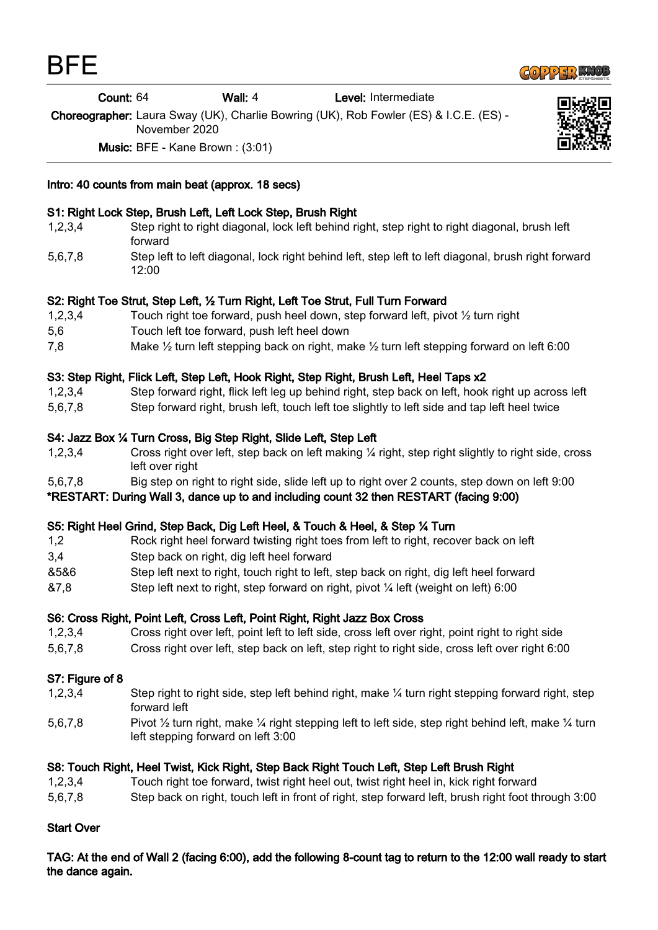

| Count: 64 | Wall: 4 | Level: Intermediate |  |
|-----------|---------|---------------------|--|
|-----------|---------|---------------------|--|

Choreographer: Laura Sway (UK), Charlie Bowring (UK), Rob Fowler (ES) & I.C.E. (ES) - November 2020

Music: BFE - Kane Brown : (3:01)



# Intro: 40 counts from main beat (approx. 18 secs)

# S1: Right Lock Step, Brush Left, Left Lock Step, Brush Right

- 1,2,3,4 Step right to right diagonal, lock left behind right, step right to right diagonal, brush left forward
- 5,6,7,8 Step left to left diagonal, lock right behind left, step left to left diagonal, brush right forward 12:00

## S2: Right Toe Strut, Step Left, ½ Turn Right, Left Toe Strut, Full Turn Forward

- 1,2,3,4 Touch right toe forward, push heel down, step forward left, pivot ½ turn right
- 5,6 Touch left toe forward, push left heel down
- 7,8 Make ½ turn left stepping back on right, make ½ turn left stepping forward on left 6:00

## S3: Step Right, Flick Left, Step Left, Hook Right, Step Right, Brush Left, Heel Taps x2

- 1,2,3,4 Step forward right, flick left leg up behind right, step back on left, hook right up across left
- 5,6,7,8 Step forward right, brush left, touch left toe slightly to left side and tap left heel twice

## S4: Jazz Box ¼ Turn Cross, Big Step Right, Slide Left, Step Left

- 1,2,3,4 Cross right over left, step back on left making ¼ right, step right slightly to right side, cross left over right
- 5,6,7,8 Big step on right to right side, slide left up to right over 2 counts, step down on left 9:00
- \*RESTART: During Wall 3, dance up to and including count 32 then RESTART (facing 9:00)

#### S5: Right Heel Grind, Step Back, Dig Left Heel, & Touch & Heel, & Step ¼ Turn

- 1,2 Rock right heel forward twisting right toes from left to right, recover back on left
- 3,4 Step back on right, dig left heel forward
- &5&6 Step left next to right, touch right to left, step back on right, dig left heel forward
- &7,8 Step left next to right, step forward on right, pivot ¼ left (weight on left) 6:00

#### S6: Cross Right, Point Left, Cross Left, Point Right, Right Jazz Box Cross

- 1,2,3,4 Cross right over left, point left to left side, cross left over right, point right to right side
- 5,6,7,8 Cross right over left, step back on left, step right to right side, cross left over right 6:00

#### S7: Figure of 8

- 1,2,3,4 Step right to right side, step left behind right, make ¼ turn right stepping forward right, step forward left
- 5,6,7,8 Pivot 1/2 turn right, make 1/4 right stepping left to left side, step right behind left, make 1/4 turn left stepping forward on left 3:00

#### S8: Touch Right, Heel Twist, Kick Right, Step Back Right Touch Left, Step Left Brush Right

- 1,2,3,4 Touch right toe forward, twist right heel out, twist right heel in, kick right forward
- 5,6,7,8 Step back on right, touch left in front of right, step forward left, brush right foot through 3:00

#### Start Over

TAG: At the end of Wall 2 (facing 6:00), add the following 8-count tag to return to the 12:00 wall ready to start the dance again.